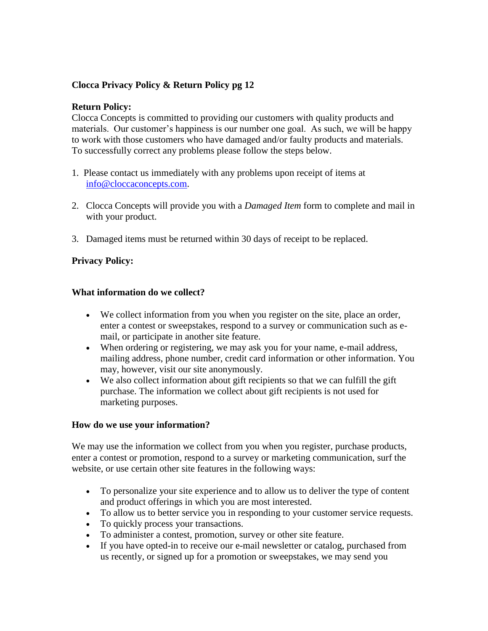# **Clocca Privacy Policy & Return Policy pg 12**

#### **Return Policy:**

Clocca Concepts is committed to providing our customers with quality products and materials. Our customer's happiness is our number one goal. As such, we will be happy to work with those customers who have damaged and/or faulty products and materials. To successfully correct any problems please follow the steps below.

- 1. Please contact us immediately with any problems upon receipt of items at [info@cloccaconcepts.com.](mailto:info@cloccaconcepts.com)
- 2. Clocca Concepts will provide you with a *Damaged Item* form to complete and mail in with your product.
- 3. Damaged items must be returned within 30 days of receipt to be replaced.

#### **Privacy Policy:**

#### **What information do we collect?**

- We collect information from you when you register on the site, place an order, enter a contest or sweepstakes, respond to a survey or communication such as email, or participate in another site feature.
- When ordering or registering, we may ask you for your name, e-mail address, mailing address, phone number, credit card information or other information. You may, however, visit our site anonymously.
- We also collect information about gift recipients so that we can fulfill the gift purchase. The information we collect about gift recipients is not used for marketing purposes.

#### **How do we use your information?**

We may use the information we collect from you when you register, purchase products, enter a contest or promotion, respond to a survey or marketing communication, surf the website, or use certain other site features in the following ways:

- To personalize your site experience and to allow us to deliver the type of content and product offerings in which you are most interested.
- To allow us to better service you in responding to your customer service requests.
- To quickly process your transactions.
- To administer a contest, promotion, survey or other site feature.
- If you have opted-in to receive our e-mail newsletter or catalog, purchased from us recently, or signed up for a promotion or sweepstakes, we may send you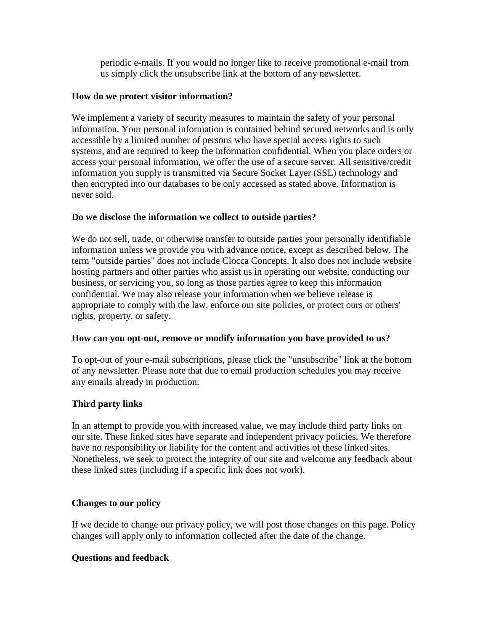periodic e-mails. If you would no longer like to receive promotional e-mail from us simply click the unsubscribe link at the bottom of any newsletter.

#### **How do we protect visitor information?**

We implement a variety of security measures to maintain the safety of your personal information. Your personal information is contained behind secured networks and is only accessible by a limited number of persons who have special access rights to such systems, and are required to keep the information confidential. When you place orders or access your personal information, we offer the use of a secure server. All sensitive/credit information you supply is transmitted via Secure Socket Layer (SSL) technology and then encrypted into our databases to be only accessed as stated above. Information is never sold.

## **Do we disclose the information we collect to outside parties?**

We do not sell, trade, or otherwise transfer to outside parties your personally identifiable information unless we provide you with advance notice, except as described below. The term "outside parties" does not include Clocca Concepts. It also does not include website hosting partners and other parties who assist us in operating our website, conducting our business, or servicing you, so long as those parties agree to keep this information confidential. We may also release your information when we believe release is appropriate to comply with the law, enforce our site policies, or protect ours or others' rights, property, or safety.

## **How can you opt-out, remove or modify information you have provided to us?**

To opt-out of your e-mail subscriptions, please click the "unsubscribe" link at the bottom of any newsletter. Please note that due to email production schedules you may receive any emails already in production.

## **Third party links**

In an attempt to provide you with increased value, we may include third party links on our site. These linked sites have separate and independent privacy policies. We therefore have no responsibility or liability for the content and activities of these linked sites. Nonetheless, we seek to protect the integrity of our site and welcome any feedback about these linked sites (including if a specific link does not work).

## **Changes to our policy**

If we decide to change our privacy policy, we will post those changes on this page. Policy changes will apply only to information collected after the date of the change.

## **Questions and feedback**